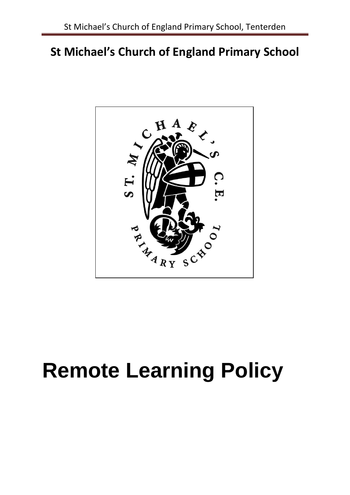# **St Michael's Church of England Primary School**



# **Remote Learning Policy**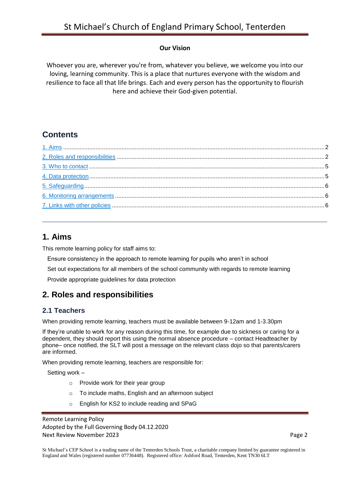#### **Our Vision**

Whoever you are, wherever you're from, whatever you believe, we welcome you into our loving, learning community. This is a place that nurtures everyone with the wisdom and resilience to face all that life brings. Each and every person has the opportunity to flourish here and achieve their God-given potential.

# **Contents**

# <span id="page-1-0"></span>**1. Aims**

This remote learning policy for staff aims to:

Ensure consistency in the approach to remote learning for pupils who aren't in school

Set out expectations for all members of the school community with regards to remote learning

Provide appropriate guidelines for data protection

# <span id="page-1-1"></span>**2. Roles and responsibilities**

#### **2.1 Teachers**

When providing remote learning, teachers must be available between 9-12am and 1-3.30pm

If they're unable to work for any reason during this time, for example due to sickness or caring for a dependent, they should report this using the normal absence procedure – contact Headteacher by phone– once notified, the SLT will post a message on the relevant class dojo so that parents/carers are informed.

When providing remote learning, teachers are responsible for:

Setting work –

- o Provide work for their year group
- o To include maths, English and an afternoon subject
- o English for KS2 to include reading and SPaG

Remote Learning Policy Adopted by the Full Governing Body 04.12.2020 Next Review November 2023 Page 2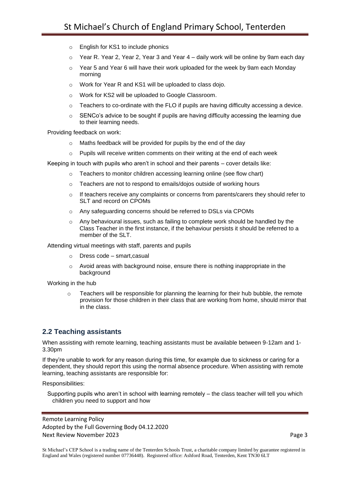- o English for KS1 to include phonics
- $\circ$  Year R. Year 2, Year 2, Year 3 and Year 4 daily work will be online by 9am each day
- $\circ$  Year 5 and Year 6 will have their work uploaded for the week by 9am each Monday morning
- o Work for Year R and KS1 will be uploaded to class dojo.
- o Work for KS2 will be uploaded to Google Classroom.
- $\circ$  Teachers to co-ordinate with the FLO if pupils are having difficulty accessing a device.
- $\circ$  SENCo's advice to be sought if pupils are having difficulty accessing the learning due to their learning needs.

Providing feedback on work:

- o Maths feedback will be provided for pupils by the end of the day
- $\circ$  Pupils will receive written comments on their writing at the end of each week

Keeping in touch with pupils who aren't in school and their parents – cover details like:

- o Teachers to monitor children accessing learning online (see flow chart)
- o Teachers are not to respond to emails/dojos outside of working hours
- $\circ$  If teachers receive any complaints or concerns from parents/carers they should refer to SLT and record on CPOMs
- o Any safeguarding concerns should be referred to DSLs via CPOMs
- o Any behavioural issues, such as failing to complete work should be handled by the Class Teacher in the first instance, if the behaviour persists it should be referred to a member of the SLT.

Attending virtual meetings with staff, parents and pupils

- o Dress code smart,casual
- o Avoid areas with background noise, ensure there is nothing inappropriate in the background

Working in the hub

o Teachers will be responsible for planning the learning for their hub bubble, the remote provision for those children in their class that are working from home, should mirror that in the class.

#### **2.2 Teaching assistants**

When assisting with remote learning, teaching assistants must be available between 9-12am and 1- 3.30pm

If they're unable to work for any reason during this time, for example due to sickness or caring for a dependent, they should report this using the normal absence procedure. When assisting with remote learning, teaching assistants are responsible for:

Responsibilities:

Supporting pupils who aren't in school with learning remotely – the class teacher will tell you which children you need to support and how

Remote Learning Policy Adopted by the Full Governing Body 04.12.2020 Next Review November 2023 **Page 3**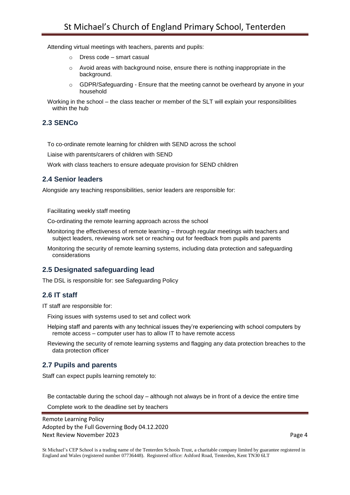Attending virtual meetings with teachers, parents and pupils:

- o Dress code smart casual
- o Avoid areas with background noise, ensure there is nothing inappropriate in the background.
- o GDPR/Safeguarding Ensure that the meeting cannot be overheard by anyone in your household

Working in the school – the class teacher or member of the SLT will explain your responsibilities within the hub

#### **2.3 SENCo**

To co-ordinate remote learning for children with SEND across the school

Liaise with parents/carers of children with SEND

Work with class teachers to ensure adequate provision for SEND children

#### **2.4 Senior leaders**

Alongside any teaching responsibilities, senior leaders are responsible for:

Facilitating weekly staff meeting

Co-ordinating the remote learning approach across the school

- Monitoring the effectiveness of remote learning through regular meetings with teachers and subject leaders, reviewing work set or reaching out for feedback from pupils and parents
- Monitoring the security of remote learning systems, including data protection and safeguarding considerations

#### **2.5 Designated safeguarding lead**

The DSL is responsible for: see Safeguarding Policy

#### **2.6 IT staff**

IT staff are responsible for:

Fixing issues with systems used to set and collect work

Helping staff and parents with any technical issues they're experiencing with school computers by remote access – computer user has to allow IT to have remote access

Reviewing the security of remote learning systems and flagging any data protection breaches to the data protection officer

#### **2.7 Pupils and parents**

Staff can expect pupils learning remotely to:

Be contactable during the school day – although not always be in front of a device the entire time

Complete work to the deadline set by teachers

Remote Learning Policy Adopted by the Full Governing Body 04.12.2020 Next Review November 2023 **Page 4** Page 4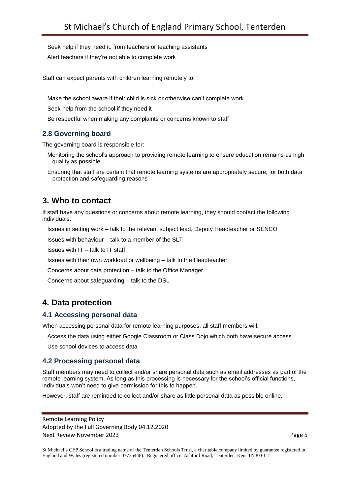Seek help if they need it, from teachers or teaching assistants

Alert teachers if they're not able to complete work

Staff can expect parents with children learning remotely to:

Make the school aware if their child is sick or otherwise can't complete work

Seek help from the school if they need it

Be respectful when making any complaints or concerns known to staff

#### **2.8 Governing board**

The governing board is responsible for:

Monitoring the school's approach to providing remote learning to ensure education remains as high quality as possible

Ensuring that staff are certain that remote learning systems are appropriately secure, for both data protection and safeguarding reasons

# <span id="page-4-0"></span>**3. Who to contact**

If staff have any questions or concerns about remote learning, they should contact the following individuals:

Issues in setting work – talk to the relevant subject lead, Deputy Headteacher or SENCO

Issues with behaviour – talk to a member of the SLT

Issues with IT – talk to IT staff

Issues with their own workload or wellbeing – talk to the Headteacher

Concerns about data protection – talk to the Office Manager

Concerns about safeguarding – talk to the DSL

# <span id="page-4-1"></span>**4. Data protection**

#### **4.1 Accessing personal data**

When accessing personal data for remote learning purposes, all staff members will:

Access the data using either Google Classroom or Class Dojo which both have secure access

Use school devices to access data

#### **4.2 Processing personal data**

Staff members may need to collect and/or share personal data such as email addresses as part of the remote learning system. As long as this processing is necessary for the school's official functions, individuals won't need to give permission for this to happen.

However, staff are reminded to collect and/or share as little personal data as possible online.

Remote Learning Policy Adopted by the Full Governing Body 04.12.2020 Next Review November 2023 Page 5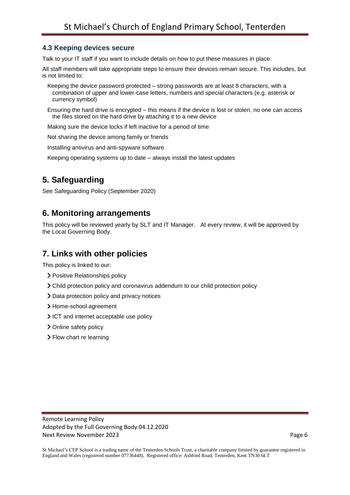#### **4.3 Keeping devices secure**

Talk to your IT staff if you want to include details on how to put these measures in place.

All staff members will take appropriate steps to ensure their devices remain secure. This includes, but is not limited to:

- Keeping the device password-protected strong passwords are at least 8 characters, with a combination of upper and lower-case letters, numbers and special characters (e.g. asterisk or currency symbol)
- Ensuring the hard drive is encrypted this means if the device is lost or stolen, no one can access the files stored on the hard drive by attaching it to a new device

Making sure the device locks if left inactive for a period of time

Not sharing the device among family or friends

Installing antivirus and anti-spyware software

Keeping operating systems up to date – always install the latest updates

# <span id="page-5-0"></span>**5. Safeguarding**

See Safeguarding Policy (September 2020)

## <span id="page-5-1"></span>**6. Monitoring arrangements**

This policy will be reviewed yearly by SLT and IT Manager. At every review, it will be approved by the Local Governing Body.

## <span id="page-5-2"></span>**7. Links with other policies**

This policy is linked to our:

- > Positive Relationships policy
- Child protection policy and coronavirus addendum to our child protection policy
- > Data protection policy and privacy notices
- > Home-school agreement
- ICT and internet acceptable use policy
- > Online safety policy
- > Flow chart re learning